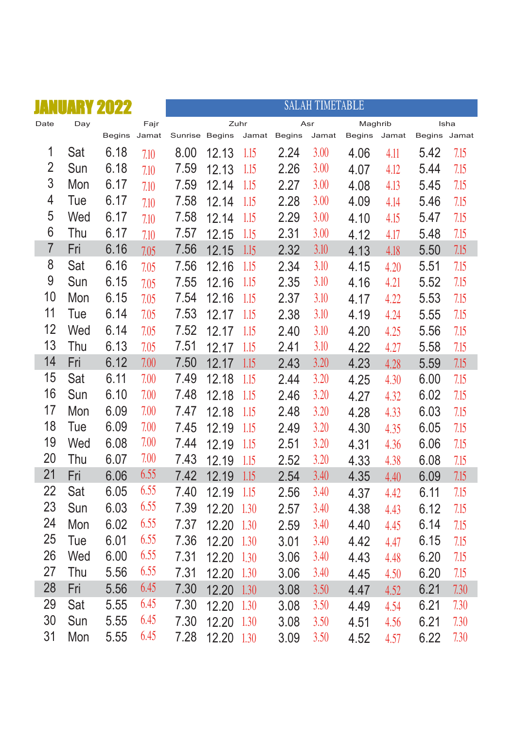| a pri          |     | NUARY 2022   |      |                |       |       |               | <b>SALAH TIMETABLE</b> |         |       |              |      |
|----------------|-----|--------------|------|----------------|-------|-------|---------------|------------------------|---------|-------|--------------|------|
| Date           | Day |              | Fajr |                |       | Zuhr  |               | Asr                    | Maghrib |       |              | Isha |
|                |     | Begins Jamat |      | Sunrise Begins |       | Jamat | <b>Begins</b> | Jamat                  | Begins  | Jamat | Begins Jamat |      |
| 1              | Sat | 6.18         | 7.10 | 8.00           | 12.13 | 1.15  | 2.24          | 3.00                   | 4.06    | 4.11  | 5.42         | 7.15 |
| $\overline{2}$ | Sun | 6.18         | 7.10 | 7.59           | 12.13 | 1.15  | 2.26          | 3.00                   | 4.07    | 4.12  | 5.44         | 7.15 |
| 3              | Mon | 6.17         | 7.10 | 7.59           | 12.14 | 1.15  | 2.27          | 3.00                   | 4.08    | 4.13  | 5.45         | 7.15 |
| 4              | Tue | 6.17         | 7.10 | 7.58           | 12.14 | 1.15  | 2.28          | 3.00                   | 4.09    | 4.14  | 5.46         | 7.15 |
| 5              | Wed | 6.17         | 7.10 | 7.58           | 12.14 | 1.15  | 2.29          | 3.00                   | 4.10    | 4.15  | 5.47         | 7.15 |
| 6              | Thu | 6.17         | 7.10 | 7.57           | 12.15 | 1.15  | 2.31          | 3.00                   | 4.12    | 4.17  | 5.48         | 7.15 |
| $\overline{7}$ | Fri | 6.16         | 7.05 | 7.56           | 12.15 | 1.15  | 2.32          | 3.10                   | 4.13    | 4.18  | 5.50         | 7.15 |
| 8              | Sat | 6.16         | 7.05 | 7.56           | 12.16 | 1.15  | 2.34          | 3.10                   | 4.15    | 4.20  | 5.51         | 7.15 |
| 9              | Sun | 6.15         | 7.05 | 7.55           | 12.16 | 1.15  | 2.35          | 3.10                   | 4.16    | 4.21  | 5.52         | 7.15 |
| 10             | Mon | 6.15         | 7.05 | 7.54           | 12.16 | 1.15  | 2.37          | 3.10                   | 4.17    | 4.22  | 5.53         | 7.15 |
| 11             | Tue | 6.14         | 7.05 | 7.53           | 12.17 | 1.15  | 2.38          | 3.10                   | 4.19    | 4.24  | 5.55         | 7.15 |
| 12             | Wed | 6.14         | 7.05 | 7.52           | 12.17 | 1.15  | 2.40          | 3.10                   | 4.20    | 4.25  | 5.56         | 7.15 |
| 13             | Thu | 6.13         | 7.05 | 7.51           | 12.17 | 1.15  | 2.41          | 3.10                   | 4.22    | 4.27  | 5.58         | 7.15 |
| 14             | Fri | 6.12         | 7.00 | 7.50           | 12.17 | 1.15  | 2.43          | 3.20                   | 4.23    | 4.28  | 5.59         | 7.15 |
| 15             | Sat | 6.11         | 7.00 | 7.49           | 12.18 | 1.15  | 2.44          | 3.20                   | 4.25    | 4.30  | 6.00         | 7.15 |
| 16             | Sun | 6.10         | 7.00 | 7.48           | 12.18 | 1.15  | 2.46          | 3.20                   | 4.27    | 4.32  | 6.02         | 7.15 |
| 17             | Mon | 6.09         | 7.00 | 7.47           | 12.18 | 1.15  | 2.48          | 3.20                   | 4.28    | 4.33  | 6.03         | 7.15 |
| 18             | Tue | 6.09         | 7.00 | 7.45           | 12.19 | 1.15  | 2.49          | 3.20                   | 4.30    | 4.35  | 6.05         | 7.15 |
| 19             | Wed | 6.08         | 7.00 | 7.44           | 12.19 | 1.15  | 2.51          | 3.20                   | 4.31    | 4.36  | 6.06         | 7.15 |
| 20             | Thu | 6.07         | 7.00 | 7.43           | 12.19 | 1.15  | 2.52          | 3.20                   | 4.33    | 4.38  | 6.08         | 7.15 |
| 21             | Fri | 6.06         | 6.55 | 7.42           | 12.19 | 1.15  | 2.54          | 3.40                   | 4.35    | 4.40  | 6.09         | 7.15 |
| 22             | Sat | 6.05         | 6.55 | 7.40           | 12.19 | 1.15  | 2.56          | 3.40                   | 4.37    | 4.42  | 6.11         | 7.15 |
| 23             | Sun | 6.03         | 6.55 | 7.39           | 12.20 | 1.30  | 2.57          | 3.40                   | 4.38    | 4.43  | 6.12         | 7.15 |
| 24             | Mon | 6.02         | 6.55 | 7.37           | 12.20 | 1.30  | 2.59          | 3.40                   | 4.40    | 4.45  | 6.14         | 7.15 |
| 25             | Tue | 6.01         | 6.55 | 7.36           | 12.20 | 1.30  | 3.01          | 3.40                   | 4.42    | 4.47  | 6.15         | 7.15 |
| 26             | Wed | 6.00         | 6.55 | 7.31           | 12.20 | 1.30  | 3.06          | 3.40                   | 4.43    | 4.48  | 6.20         | 7.15 |
| 27             | Thu | 5.56         | 6.55 | 7.31           | 12.20 | 1.30  | 3.06          | 3.40                   | 4.45    | 4.50  | 6.20         | 7.15 |
| 28             | Fri | 5.56         | 6.45 | 7.30           | 12.20 | 1.30  | 3.08          | 3.50                   | 4.47    | 4.52  | 6.21         | 7.30 |
| 29             | Sat | 5.55         | 6.45 | 7.30           | 12.20 | 1.30  | 3.08          | 3.50                   | 4.49    | 4.54  | 6.21         | 7.30 |
| 30             | Sun | 5.55         | 6.45 | 7.30           | 12.20 | 1.30  | 3.08          | 3.50                   | 4.51    | 4.56  | 6.21         | 7.30 |
| 31             | Mon | 5.55         | 6.45 | 7.28           | 12.20 | 1.30  | 3.09          | 3.50                   | 4.52    | 4.57  | 6.22         | 7.30 |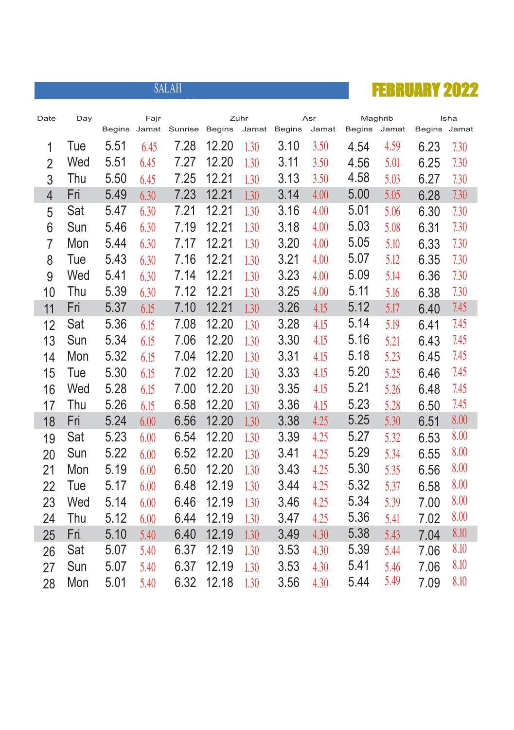

| Date           | Day |               | Fajr  |         |               | Zuhr  |               | Asr   |        | Maghrib |              | Isha |
|----------------|-----|---------------|-------|---------|---------------|-------|---------------|-------|--------|---------|--------------|------|
|                |     | <b>Begins</b> | Jamat | Sunrise | <b>Begins</b> | Jamat | <b>Begins</b> | Jamat | Begins | Jamat   | Begins Jamat |      |
| 1              | Tue | 5.51          | 6.45  | 7.28    | 12.20         | 1.30  | 3.10          | 3.50  | 4.54   | 4.59    | 6.23         | 7.30 |
| $\overline{2}$ | Wed | 5.51          | 6.45  | 7.27    | 12.20         | 1.30  | 3.11          | 3.50  | 4.56   | 5.01    | 6.25         | 7.30 |
| 3              | Thu | 5.50          | 6.45  | 7.25    | 12.21         | 1.30  | 3.13          | 3.50  | 4.58   | 5.03    | 6.27         | 7.30 |
| $\overline{4}$ | Fri | 5.49          | 6.30  | 7.23    | 12.21         | 1.30  | 3.14          | 4.00  | 5.00   | 5.05    | 6.28         | 7.30 |
| 5              | Sat | 5.47          | 6.30  | 7.21    | 12.21         | 1.30  | 3.16          | 4.00  | 5.01   | 5.06    | 6.30         | 7.30 |
| 6              | Sun | 5.46          | 6.30  | 7.19    | 12.21         | 1.30  | 3.18          | 4.00  | 5.03   | 5.08    | 6.31         | 7.30 |
| $\overline{7}$ | Mon | 5.44          | 6.30  | 7.17    | 12.21         | 1.30  | 3.20          | 4.00  | 5.05   | 5.10    | 6.33         | 7.30 |
| 8              | Tue | 5.43          | 6.30  | 7.16    | 12.21         | 1.30  | 3.21          | 4.00  | 5.07   | 5.12    | 6.35         | 7.30 |
| 9              | Wed | 5.41          | 6.30  | 7.14    | 12.21         | 1.30  | 3.23          | 4.00  | 5.09   | 5.14    | 6.36         | 7.30 |
| 10             | Thu | 5.39          | 6.30  | 7.12    | 12.21         | 1.30  | 3.25          | 4.00  | 5.11   | 5.16    | 6.38         | 7.30 |
| 11             | Fri | 5.37          | 6.15  | 7.10    | 12.21         | 1.30  | 3.26          | 4.15  | 5.12   | 5.17    | 6.40         | 7.45 |
| 12             | Sat | 5.36          | 6.15  | 7.08    | 12.20         | 1.30  | 3.28          | 4.15  | 5.14   | 5.19    | 6.41         | 7.45 |
| 13             | Sun | 5.34          | 6.15  | 7.06    | 12.20         | 1.30  | 3.30          | 4.15  | 5.16   | 5.21    | 6.43         | 7.45 |
| 14             | Mon | 5.32          | 6.15  | 7.04    | 12.20         | 1.30  | 3.31          | 4.15  | 5.18   | 5.23    | 6.45         | 7.45 |
| 15             | Tue | 5.30          | 6.15  | 7.02    | 12.20         | 1.30  | 3.33          | 4.15  | 5.20   | 5.25    | 6.46         | 7.45 |
| 16             | Wed | 5.28          | 6.15  | 7.00    | 12.20         | 1.30  | 3.35          | 4.15  | 5.21   | 5.26    | 6.48         | 7.45 |
| 17             | Thu | 5.26          | 6.15  | 6.58    | 12.20         | 1.30  | 3.36          | 4.15  | 5.23   | 5.28    | 6.50         | 7.45 |
| 18             | Fri | 5.24          | 6.00  | 6.56    | 12.20         | 1.30  | 3.38          | 4.25  | 5.25   | 5.30    | 6.51         | 8.00 |
| 19             | Sat | 5.23          | 6.00  | 6.54    | 12.20         | 1.30  | 3.39          | 4.25  | 5.27   | 5.32    | 6.53         | 8.00 |
| 20             | Sun | 5.22          | 6.00  | 6.52    | 12.20         | 1.30  | 3.41          | 4.25  | 5.29   | 5.34    | 6.55         | 8.00 |
| 21             | Mon | 5.19          | 6.00  | 6.50    | 12.20         | 1.30  | 3.43          | 4.25  | 5.30   | 5.35    | 6.56         | 8.00 |
| 22             | Tue | 5.17          | 6.00  | 6.48    | 12.19         | 1.30  | 3.44          | 4.25  | 5.32   | 5.37    | 6.58         | 8.00 |
| 23             | Wed | 5.14          | 6.00  | 6.46    | 12.19         | 1.30  | 3.46          | 4.25  | 5.34   | 5.39    | 7.00         | 8.00 |
| 24             | Thu | 5.12          | 6.00  | 6.44    | 12.19         | 1.30  | 3.47          | 4.25  | 5.36   | 5.41    | 7.02         | 8.00 |
| 25             | Fri | 5.10          | 5.40  | 6.40    | 12.19         | 1.30  | 3.49          | 4.30  | 5.38   | 5.43    | 7.04         | 8.10 |
| 26             | Sat | 5.07          | 5.40  | 6.37    | 12.19         | 1.30  | 3.53          | 4.30  | 5.39   | 5.44    | 7.06         | 8.10 |
| 27             | Sun | 5.07          | 5.40  | 6.37    | 12.19         | 1.30  | 3.53          | 4.30  | 5.41   | 5.46    | 7.06         | 8.10 |
| 28             | Mon | 5.01          | 5.40  | 6.32    | 12.18         | 1.30  | 3.56          | 4.30  | 5.44   | 5.49    | 7.09         | 8.10 |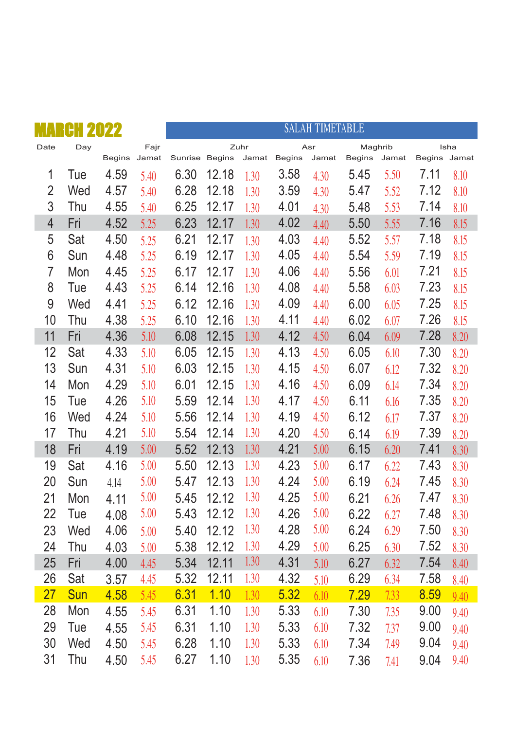|                | Η   |        |       |                |       |       |               | <b>SALAH TIMETABLE</b> |         |       |              |      |
|----------------|-----|--------|-------|----------------|-------|-------|---------------|------------------------|---------|-------|--------------|------|
| Date           | Day |        | Fajr  |                |       | Zuhr  |               | Asr                    | Maghrib |       |              | Isha |
|                |     | Begins | Jamat | Sunrise Begins |       | Jamat | <b>Begins</b> | Jamat                  | Begins  | Jamat | Begins Jamat |      |
| 1              | Tue | 4.59   | 5.40  | 6.30           | 12.18 | 1.30  | 3.58          | 4.30                   | 5.45    | 5.50  | 7.11         | 8.10 |
| $\overline{2}$ | Wed | 4.57   | 5.40  | 6.28           | 12.18 | 1.30  | 3.59          | 4.30                   | 5.47    | 5.52  | 7.12         | 8.10 |
| 3              | Thu | 4.55   | 5.40  | 6.25           | 12.17 | 1.30  | 4.01          | 4.30                   | 5.48    | 5.53  | 7.14         | 8.10 |
| $\overline{4}$ | Fri | 4.52   | 5.25  | 6.23           | 12.17 | 1.30  | 4.02          | 4.40                   | 5.50    | 5.55  | 7.16         | 8.15 |
| 5              | Sat | 4.50   | 5.25  | 6.21           | 12.17 | 1.30  | 4.03          | 4.40                   | 5.52    | 5.57  | 7.18         | 8.15 |
| 6              | Sun | 4.48   | 5.25  | 6.19           | 12.17 | 1.30  | 4.05          | 4.40                   | 5.54    | 5.59  | 7.19         | 8.15 |
| $\overline{7}$ | Mon | 4.45   | 5.25  | 6.17           | 12.17 | 1.30  | 4.06          | 4.40                   | 5.56    | 6.01  | 7.21         | 8.15 |
| 8              | Tue | 4.43   | 5.25  | 6.14           | 12.16 | 1.30  | 4.08          | 4.40                   | 5.58    | 6.03  | 7.23         | 8.15 |
| 9              | Wed | 4.41   | 5.25  | 6.12           | 12.16 | 1.30  | 4.09          | 4.40                   | 6.00    | 6.05  | 7.25         | 8.15 |
| 10             | Thu | 4.38   | 5.25  | 6.10           | 12.16 | 1.30  | 4.11          | 4.40                   | 6.02    | 6.07  | 7.26         | 8.15 |
| 11             | Fri | 4.36   | 5.10  | 6.08           | 12.15 | 1.30  | 4.12          | 4.50                   | 6.04    | 6.09  | 7.28         | 8.20 |
| 12             | Sat | 4.33   | 5.10  | 6.05           | 12.15 | 1.30  | 4.13          | 4.50                   | 6.05    | 6.10  | 7.30         | 8.20 |
| 13             | Sun | 4.31   | 5.10  | 6.03           | 12.15 | 1.30  | 4.15          | 4.50                   | 6.07    | 6.12  | 7.32         | 8.20 |
| 14             | Mon | 4.29   | 5.10  | 6.01           | 12.15 | 1.30  | 4.16          | 4.50                   | 6.09    | 6.14  | 7.34         | 8.20 |
| 15             | Tue | 4.26   | 5.10  | 5.59           | 12.14 | 1.30  | 4.17          | 4.50                   | 6.11    | 6.16  | 7.35         | 8.20 |
| 16             | Wed | 4.24   | 5.10  | 5.56           | 12.14 | 1.30  | 4.19          | 4.50                   | 6.12    | 6.17  | 7.37         | 8.20 |
| 17             | Thu | 4.21   | 5.10  | 5.54           | 12.14 | 1.30  | 4.20          | 4.50                   | 6.14    | 6.19  | 7.39         | 8.20 |
| 18             | Fri | 4.19   | 5.00  | 5.52           | 12.13 | 1.30  | 4.21          | 5.00                   | 6.15    | 6.20  | 7.41         | 8.30 |
| 19             | Sat | 4.16   | 5.00  | 5.50           | 12.13 | 1.30  | 4.23          | 5.00                   | 6.17    | 6.22  | 7.43         | 8.30 |
| 20             | Sun | 4.14   | 5.00  | 5.47           | 12.13 | 1.30  | 4.24          | 5.00                   | 6.19    | 6.24  | 7.45         | 8.30 |
| 21             | Mon | 4.11   | 5.00  | 5.45           | 12.12 | 1.30  | 4.25          | 5.00                   | 6.21    | 6.26  | 7.47         | 8.30 |
| 22             | Tue | 4.08   | 5.00  | 5.43           | 12.12 | 1.30  | 4.26          | 5.00                   | 6.22    | 6.27  | 7.48         | 8.30 |
| 23             | Wed | 4.06   | 5.00  | 5.40           | 12.12 | 1.30  | 4.28          | 5.00                   | 6.24    | 6.29  | 7.50         | 8.30 |
| 24             | Thu | 4.03   | 5.00  | 5.38           | 12.12 | 1.30  | 4.29          | 5.00                   | 6.25    | 6.30  | 7.52         | 8.30 |
| 25             | Fri | 4.00   | 4.45  | 5.34           | 12.11 | 1.30  | 4.31          | 5.10                   | 6.27    | 6.32  | 7.54         | 8.40 |
| 26             | Sat | 3.57   | 4.45  | 5.32           | 12.11 | 1.30  | 4.32          | 5.10                   | 6.29    | 6.34  | 7.58         | 8.40 |
| 27             | Sun | 4.58   | 5.45  | 6.31           | 1.10  | 1.30  | 5.32          | 6.10                   | 7.29    | 7.33  | 8.59         | 9.40 |
| 28             | Mon | 4.55   | 5.45  | 6.31           | 1.10  | 1.30  | 5.33          | 6.10                   | 7.30    | 7.35  | 9.00         | 9.40 |
| 29             | Tue | 4.55   | 5.45  | 6.31           | 1.10  | 1.30  | 5.33          | 6.10                   | 7.32    | 7.37  | 9.00         | 9.40 |
| 30             | Wed | 4.50   | 5.45  | 6.28           | 1.10  | 1.30  | 5.33          | 6.10                   | 7.34    | 7.49  | 9.04         | 9.40 |
| 31             | Thu | 4.50   | 5.45  | 6.27           | 1.10  | 1.30  | 5.35          | 6.10                   | 7.36    | 7.41  | 9.04         | 9.40 |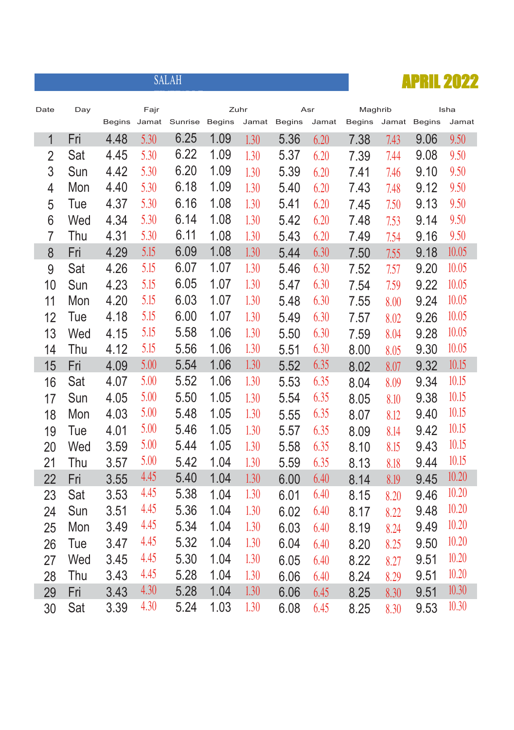

| Date           | Day |      | Fajr |                             |      | Zuhr  |        | Asr   | Maghrib       |      |              | Isha  |
|----------------|-----|------|------|-----------------------------|------|-------|--------|-------|---------------|------|--------------|-------|
|                |     |      |      | Begins Jamat Sunrise Begins |      | Jamat | Begins | Jamat | <b>Begins</b> |      | Jamat Begins | Jamat |
| $\mathbf{1}$   | Fri | 4.48 | 5.30 | 6.25                        | 1.09 | 1.30  | 5.36   | 6.20  | 7.38          | 7.43 | 9.06         | 9.50  |
| $\overline{2}$ | Sat | 4.45 | 5.30 | 6.22                        | 1.09 | 1.30  | 5.37   | 6.20  | 7.39          | 7.44 | 9.08         | 9.50  |
| 3              | Sun | 4.42 | 5.30 | 6.20                        | 1.09 | 1.30  | 5.39   | 6.20  | 7.41          | 7.46 | 9.10         | 9.50  |
| $\overline{4}$ | Mon | 4.40 | 5.30 | 6.18                        | 1.09 | 1.30  | 5.40   | 6.20  | 7.43          | 7.48 | 9.12         | 9.50  |
| 5              | Tue | 4.37 | 5.30 | 6.16                        | 1.08 | 1.30  | 5.41   | 6.20  | 7.45          | 7.50 | 9.13         | 9.50  |
| 6              | Wed | 4.34 | 5.30 | 6.14                        | 1.08 | 1.30  | 5.42   | 6.20  | 7.48          | 7.53 | 9.14         | 9.50  |
| $\overline{7}$ | Thu | 4.31 | 5.30 | 6.11                        | 1.08 | 1.30  | 5.43   | 6.20  | 7.49          | 7.54 | 9.16         | 9.50  |
| 8              | Fri | 4.29 | 5.15 | 6.09                        | 1.08 | 1.30  | 5.44   | 6.30  | 7.50          | 7.55 | 9.18         | 10.05 |
| 9              | Sat | 4.26 | 5.15 | 6.07                        | 1.07 | 1.30  | 5.46   | 6.30  | 7.52          | 7.57 | 9.20         | 10.05 |
| 10             | Sun | 4.23 | 5.15 | 6.05                        | 1.07 | 1.30  | 5.47   | 6.30  | 7.54          | 7.59 | 9.22         | 10.05 |
| 11             | Mon | 4.20 | 5.15 | 6.03                        | 1.07 | 1.30  | 5.48   | 6.30  | 7.55          | 8.00 | 9.24         | 10.05 |
| 12             | Tue | 4.18 | 5.15 | 6.00                        | 1.07 | 1.30  | 5.49   | 6.30  | 7.57          | 8.02 | 9.26         | 10.05 |
| 13             | Wed | 4.15 | 5.15 | 5.58                        | 1.06 | 1.30  | 5.50   | 6.30  | 7.59          | 8.04 | 9.28         | 10.05 |
| 14             | Thu | 4.12 | 5.15 | 5.56                        | 1.06 | 1.30  | 5.51   | 6.30  | 8.00          | 8.05 | 9.30         | 10.05 |
| 15             | Fri | 4.09 | 5.00 | 5.54                        | 1.06 | 1.30  | 5.52   | 6.35  | 8.02          | 8.07 | 9.32         | 10.15 |
| 16             | Sat | 4.07 | 5.00 | 5.52                        | 1.06 | 1.30  | 5.53   | 6.35  | 8.04          | 8.09 | 9.34         | 10.15 |
| 17             | Sun | 4.05 | 5.00 | 5.50                        | 1.05 | 1.30  | 5.54   | 6.35  | 8.05          | 8.10 | 9.38         | 10.15 |
| 18             | Mon | 4.03 | 5.00 | 5.48                        | 1.05 | 1.30  | 5.55   | 6.35  | 8.07          | 8.12 | 9.40         | 10.15 |
| 19             | Tue | 4.01 | 5.00 | 5.46                        | 1.05 | 1.30  | 5.57   | 6.35  | 8.09          | 8.14 | 9.42         | 10.15 |
| 20             | Wed | 3.59 | 5.00 | 5.44                        | 1.05 | 1.30  | 5.58   | 6.35  | 8.10          | 8.15 | 9.43         | 10.15 |
| 21             | Thu | 3.57 | 5.00 | 5.42                        | 1.04 | 1.30  | 5.59   | 6.35  | 8.13          | 8.18 | 9.44         | 10.15 |
| 22             | Fri | 3.55 | 4.45 | 5.40                        | 1.04 | 1.30  | 6.00   | 6.40  | 8.14          | 8.19 | 9.45         | 10.20 |
| 23             | Sat | 3.53 | 4.45 | 5.38                        | 1.04 | 1.30  | 6.01   | 6.40  | 8.15          | 8.20 | 9.46         | 10.20 |
| 24             | Sun | 3.51 | 4.45 | 5.36                        | 1.04 | 1.30  | 6.02   | 6.40  | 8.17          | 8.22 | 9.48         | 10.20 |
| 25             | Mon | 3.49 | 4.45 | 5.34                        | 1.04 | 1.30  | 6.03   | 6.40  | 8.19          | 8.24 | 9.49         | 10.20 |
| 26             | Tue | 3.47 | 4.45 | 5.32                        | 1.04 | 1.30  | 6.04   | 6.40  | 8.20          | 8.25 | 9.50         | 10.20 |
| 27             | Wed | 3.45 | 4.45 | 5.30                        | 1.04 | 1.30  | 6.05   | 6.40  | 8.22          | 8.27 | 9.51         | 10.20 |
| 28             | Thu | 3.43 | 4.45 | 5.28                        | 1.04 | 1.30  | 6.06   | 6.40  | 8.24          | 8.29 | 9.51         | 10.20 |
| 29             | Fri | 3.43 | 4.30 | 5.28                        | 1.04 | 1.30  | 6.06   | 6.45  | 8.25          | 8.30 | 9.51         | 10.30 |
| 30             | Sat | 3.39 | 4.30 | 5.24                        | 1.03 | 1.30  | 6.08   | 6.45  | 8.25          | 8.30 | 9.53         | 10.30 |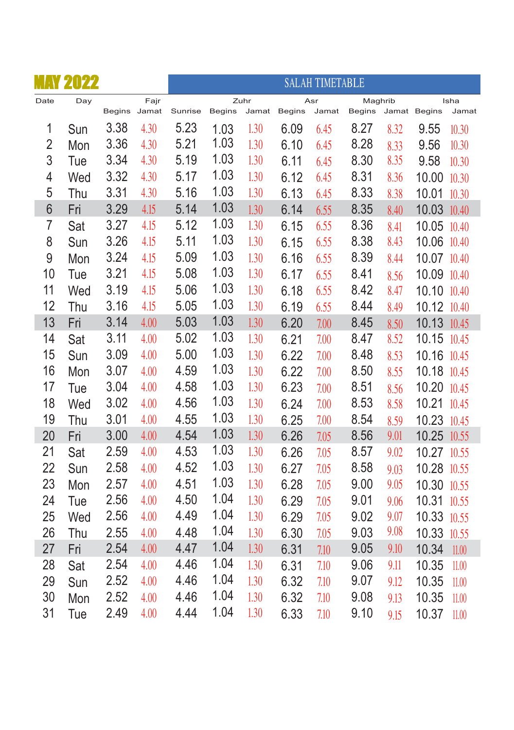|                | <b>MAY 2022</b> |              |      |         |        |               |        | <b>SALAH TIMETABLE</b> |                   |      |              |               |
|----------------|-----------------|--------------|------|---------|--------|---------------|--------|------------------------|-------------------|------|--------------|---------------|
| Date           | Day             | Begins Jamat | Fajr | Sunrise | Begins | Zuhr<br>Jamat | Begins | Asr<br>Jamat           | Maghrib<br>Begins |      | Jamat Begins | Isha<br>Jamat |
| 1              | Sun             | 3.38         | 4.30 | 5.23    | 1.03   | 1.30          | 6.09   | 6.45                   | 8.27              | 8.32 | 9.55         | 10.30         |
| $\overline{2}$ | Mon             | 3.36         | 4.30 | 5.21    | 1.03   | 1.30          | 6.10   | 6.45                   | 8.28              | 8.33 | 9.56         | 10.30         |
| 3              | Tue             | 3.34         | 4.30 | 5.19    | 1.03   | 1.30          | 6.11   | 6.45                   | 8.30              | 8.35 | 9.58         | 10.30         |
| 4              | Wed             | 3.32         | 4.30 | 5.17    | 1.03   | 1.30          | 6.12   | 6.45                   | 8.31              | 8.36 | 10.00        | 10.30         |
| 5              | Thu             | 3.31         | 4.30 | 5.16    | 1.03   | 1.30          | 6.13   | 6.45                   | 8.33              | 8.38 | 10.01        | 10.30         |
| $6\phantom{a}$ | Fri             | 3.29         | 4.15 | 5.14    | 1.03   | 1.30          | 6.14   | 6.55                   | 8.35              | 8.40 | 10.03 10.40  |               |
| $\overline{7}$ | Sat             | 3.27         | 4.15 | 5.12    | 1.03   | 1.30          | 6.15   | 6.55                   | 8.36              | 8.41 | 10.05        | 10.40         |
| 8              | Sun             | 3.26         | 4.15 | 5.11    | 1.03   | 1.30          | 6.15   | 6.55                   | 8.38              | 8.43 | 10.06 10.40  |               |
| 9              | Mon             | 3.24         | 4.15 | 5.09    | 1.03   | 1.30          | 6.16   | 6.55                   | 8.39              | 8.44 | 10.07 10.40  |               |
| 10             | Tue             | 3.21         | 4.15 | 5.08    | 1.03   | 1.30          | 6.17   | 6.55                   | 8.41              | 8.56 | 10.09 10.40  |               |
| 11             | Wed             | 3.19         | 4.15 | 5.06    | 1.03   | 1.30          | 6.18   | 6.55                   | 8.42              | 8.47 | 10.10 10.40  |               |
| 12             | Thu             | 3.16         | 4.15 | 5.05    | 1.03   | 1.30          | 6.19   | 6.55                   | 8.44              | 8.49 | 10.12 10.40  |               |
| 13             | Fri             | 3.14         | 4.00 | 5.03    | 1.03   | 1.30          | 6.20   | 7.00                   | 8.45              | 8.50 | 10.13        | 10.45         |
| 14             | Sat             | 3.11         | 4.00 | 5.02    | 1.03   | 1.30          | 6.21   | 7.00                   | 8.47              | 8.52 | 10.15        | 10.45         |
| 15             | Sun             | 3.09         | 4.00 | 5.00    | 1.03   | 1.30          | 6.22   | 7.00                   | 8.48              | 8.53 | 10.16 10.45  |               |
| 16             | Mon             | 3.07         | 4.00 | 4.59    | 1.03   | 1.30          | 6.22   | 7.00                   | 8.50              | 8.55 | 10.18 10.45  |               |
| 17             | Tue             | 3.04         | 4.00 | 4.58    | 1.03   | 1.30          | 6.23   | 7.00                   | 8.51              | 8.56 | 10.20 10.45  |               |
| 18             | Wed             | 3.02         | 4.00 | 4.56    | 1.03   | 1.30          | 6.24   | 7.00                   | 8.53              | 8.58 | 10.21        | 10.45         |
| 19             | Thu             | 3.01         | 4.00 | 4.55    | 1.03   | 1.30          | 6.25   | 7.00                   | 8.54              | 8.59 | 10.23        | 10.45         |
| 20             | Fri             | 3.00         | 4.00 | 4.54    | 1.03   | 1.30          | 6.26   | 7.05                   | 8.56              | 9.01 | 10.25        | 10.55         |
| 21             | Sat             | 2.59         | 4.00 | 4.53    | 1.03   | 1.30          | 6.26   | 7.05                   | 8.57              | 9.02 | 10.27        | 10.55         |
| 22             | Sun             | 2.58         | 4.00 | 4.52    | 1.03   | 1.30          | 6.27   | 7.05                   | 8.58              | 9.03 | 10.28 10.55  |               |
| 23             | Mon             | 2.57         | 4.00 | 4.51    | 1.03   | 1.30          | 6.28   | 7.05                   | 9.00              | 9.05 | 10.30 10.55  |               |
| 24             | Tue             | 2.56         | 4.00 | 4.50    | 1.04   | 1.30          | 6.29   | 7.05                   | 9.01              | 9.06 | 10.31        | 10.55         |
| 25             | Wed             | 2.56         | 4.00 | 4.49    | 1.04   | 1.30          | 6.29   | 7.05                   | 9.02              | 9.07 | 10.33        | 10.55         |
| 26             | Thu             | 2.55         | 4.00 | 4.48    | 1.04   | 1.30          | 6.30   | 7.05                   | 9.03              | 9.08 | 10.33        | 10.55         |
| 27             | Fri             | 2.54         | 4.00 | 4.47    | 1.04   | 1.30          | 6.31   | 7.10                   | 9.05              | 9.10 | 10.34        | 11.00         |
| 28             | Sat             | 2.54         | 4.00 | 4.46    | 1.04   | 1.30          | 6.31   | 7.10                   | 9.06              | 9.11 | 10.35        | 11.00         |
| 29             | Sun             | 2.52         | 4.00 | 4.46    | 1.04   | 1.30          | 6.32   | 7.10                   | 9.07              | 9.12 | 10.35        | 11.00         |
| 30             | Mon             | 2.52         | 4.00 | 4.46    | 1.04   | 1.30          | 6.32   | 7.10                   | 9.08              | 9.13 | 10.35        | 11.00         |
| 31             | Tue             | 2.49         | 4.00 | 4.44    | 1.04   | 1.30          | 6.33   | 7.10                   | 9.10              | 9.15 | 10.37        | 11.00         |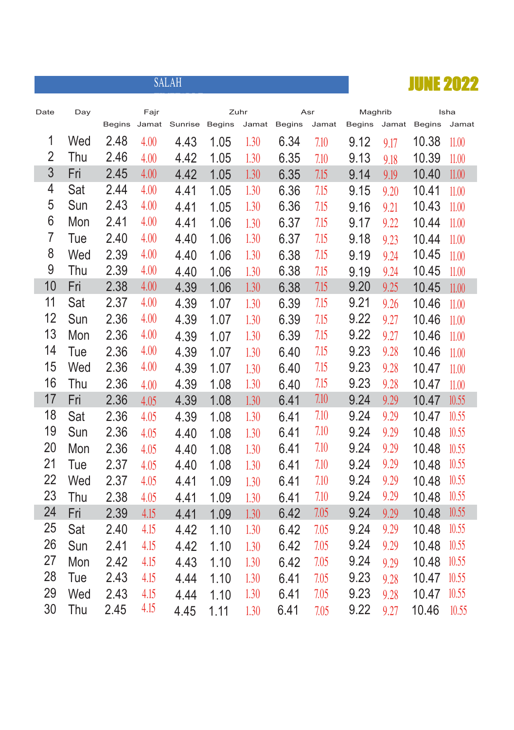

| Date           | Day |               | Fajr  |         |               | Zuhr  |               | Asr   | Maghrib |       |               | Isha  |
|----------------|-----|---------------|-------|---------|---------------|-------|---------------|-------|---------|-------|---------------|-------|
|                |     | <b>Begins</b> | Jamat | Sunrise | <b>Begins</b> | Jamat | <b>Begins</b> | Jamat | Begins  | Jamat | <b>Begins</b> | Jamat |
| 1              | Wed | 2.48          | 4.00  | 4.43    | 1.05          | 1.30  | 6.34          | 7.10  | 9.12    | 9.17  | 10.38         | 11.00 |
| $\overline{2}$ | Thu | 2.46          | 4.00  | 4.42    | 1.05          | 1.30  | 6.35          | 7.10  | 9.13    | 9.18  | 10.39         | 11.00 |
| 3              | Fri | 2.45          | 4.00  | 4.42    | 1.05          | 1.30  | 6.35          | 7.15  | 9.14    | 9.19  | 10.40         | 11.00 |
| 4              | Sat | 2.44          | 4.00  | 4.41    | 1.05          | 1.30  | 6.36          | 7.15  | 9.15    | 9.20  | 10.41         | 11.00 |
| 5              | Sun | 2.43          | 4.00  | 4.41    | 1.05          | 1.30  | 6.36          | 7.15  | 9.16    | 9.21  | 10.43         | 11.00 |
| 6              | Mon | 2.41          | 4.00  | 4.41    | 1.06          | 1.30  | 6.37          | 7.15  | 9.17    | 9.22  | 10.44         | 11.00 |
| 7              | Tue | 2.40          | 4.00  | 4.40    | 1.06          | 1.30  | 6.37          | 7.15  | 9.18    | 9.23  | 10.44         | 11.00 |
| 8              | Wed | 2.39          | 4.00  | 4.40    | 1.06          | 1.30  | 6.38          | 7.15  | 9.19    | 9.24  | 10.45         | 11.00 |
| 9              | Thu | 2.39          | 4.00  | 4.40    | 1.06          | 1.30  | 6.38          | 7.15  | 9.19    | 9.24  | 10.45         | 11.00 |
| 10             | Fri | 2.38          | 4.00  | 4.39    | 1.06          | 1.30  | 6.38          | 7.15  | 9.20    | 9.25  | 10.45         | 11.00 |
| 11             | Sat | 2.37          | 4.00  | 4.39    | 1.07          | 1.30  | 6.39          | 7.15  | 9.21    | 9.26  | 10.46         | 11.00 |
| 12             | Sun | 2.36          | 4.00  | 4.39    | 1.07          | 1.30  | 6.39          | 7.15  | 9.22    | 9.27  | 10.46         | 11.00 |
| 13             | Mon | 2.36          | 4.00  | 4.39    | 1.07          | 1.30  | 6.39          | 7.15  | 9.22    | 9.27  | 10.46         | 11.00 |
| 14             | Tue | 2.36          | 4.00  | 4.39    | 1.07          | 1.30  | 6.40          | 7.15  | 9.23    | 9.28  | 10.46         | 11.00 |
| 15             | Wed | 2.36          | 4.00  | 4.39    | 1.07          | 1.30  | 6.40          | 7.15  | 9.23    | 9.28  | 10.47         | 11.00 |
| 16             | Thu | 2.36          | 4.00  | 4.39    | 1.08          | 1.30  | 6.40          | 7.15  | 9.23    | 9.28  | 10.47         | 11.00 |
| 17             | Fri | 2.36          | 4.05  | 4.39    | 1.08          | 1.30  | 6.41          | 7.10  | 9.24    | 9.29  | 10.47         | 10.55 |
| 18             | Sat | 2.36          | 4.05  | 4.39    | 1.08          | 1.30  | 6.41          | 7.10  | 9.24    | 9.29  | 10.47         | 10.55 |
| 19             | Sun | 2.36          | 4.05  | 4.40    | 1.08          | 1.30  | 6.41          | 7.10  | 9.24    | 9.29  | 10.48         | 10.55 |
| 20             | Mon | 2.36          | 4.05  | 4.40    | 1.08          | 1.30  | 6.41          | 7.10  | 9.24    | 9.29  | 10.48         | 10.55 |
| 21             | Tue | 2.37          | 4.05  | 4.40    | 1.08          | 1.30  | 6.41          | 7.10  | 9.24    | 9.29  | 10.48         | 10.55 |
| 22             | Wed | 2.37          | 4.05  | 4.41    | 1.09          | 1.30  | 6.41          | 7.10  | 9.24    | 9.29  | 10.48         | 10.55 |
| 23             | Thu | 2.38          | 4.05  | 4.41    | 1.09          | 1.30  | 6.41          | 7.10  | 9.24    | 9.29  | 10.48         | 10.55 |
| 24             | Fri | 2.39          | 4.15  | 4.41    | 1.09          | 1.30  | 6.42          | 7.05  | 9.24    | 9.29  | 10.48         | 10.55 |
| 25             | Sat | 2.40          | 4.15  | 4.42    | 1.10          | 1.30  | 6.42          | 7.05  | 9.24    | 9.29  | 10.48         | 10.55 |
| 26             | Sun | 2.41          | 4.15  | 4.42    | 1.10          | 1.30  | 6.42          | 7.05  | 9.24    | 9.29  | 10.48         | 10.55 |
| 27             | Mon | 2.42          | 4.15  | 4.43    | 1.10          | 1.30  | 6.42          | 7.05  | 9.24    | 9.29  | 10.48         | 10.55 |
| 28             | Tue | 2.43          | 4.15  | 4.44    | 1.10          | 1.30  | 6.41          | 7.05  | 9.23    | 9.28  | 10.47         | 10.55 |
| 29             | Wed | 2.43          | 4.15  | 4.44    | 1.10          | 1.30  | 6.41          | 7.05  | 9.23    | 9.28  | 10.47         | 10.55 |
| 30             | Thu | 2.45          | 4.15  | 4.45    | 1.11          | 1.30  | 6.41          | 7.05  | 9.22    | 9.27  | 10.46         | 10.55 |
|                |     |               |       |         |               |       |               |       |         |       |               |       |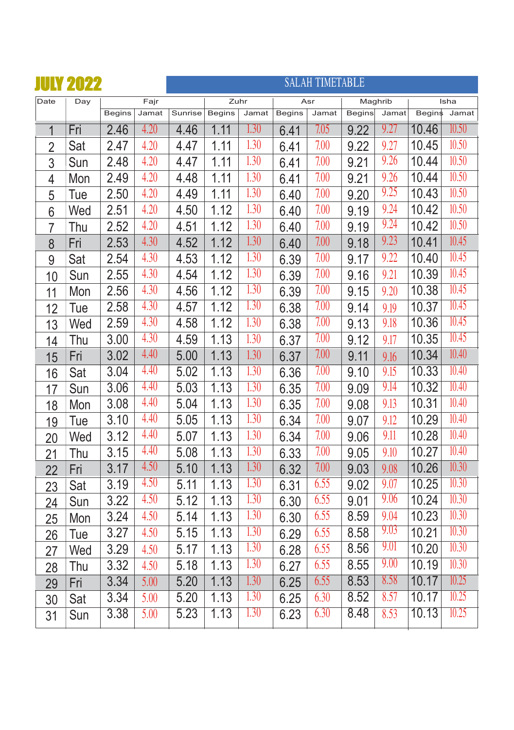

| Date           | Day |               | Fajr  |         | Zuhr          |                   |               | Asr   | Maghrib       |       |        | Isha  |
|----------------|-----|---------------|-------|---------|---------------|-------------------|---------------|-------|---------------|-------|--------|-------|
|                |     | <b>Begins</b> | Jamat | Sunrise | <b>Begins</b> | Jamat             | <b>Begins</b> | Jamat | <b>Begins</b> | Jamat | Begins | Jamat |
| $\mathbf 1$    | Fri | 2.46          | 4.20  | 4.46    | 1.11          | 1.30              | 6.41          | 7.05  | 9.22          | 9.27  | 10.46  | 10.50 |
| $\overline{2}$ | Sat | 2.47          | 4.20  | 4.47    | 1.11          | 1.30              | 6.41          | 7.00  | 9.22          | 9.27  | 10.45  | 10.50 |
| 3              | Sun | 2.48          | 4.20  | 4.47    | 1.11          | 1.30              | 6.41          | 7.00  | 9.21          | 9.26  | 10.44  | 10.50 |
| 4              | Mon | 2.49          | 4.20  | 4.48    | 1.11          | 1.30              | 6.41          | 7.00  | 9.21          | 9.26  | 10.44  | 10.50 |
| $\overline{5}$ | Tue | 2.50          | 4.20  | 4.49    | 1.11          | 1.30              | 6.40          | 7.00  | 9.20          | 9.25  | 10.43  | 10.50 |
| 6              | Wed | 2.51          | 4.20  | 4.50    | 1.12          | 1.30              | 6.40          | 7.00  | 9.19          | 9.24  | 10.42  | 10.50 |
| 7              | Thu | 2.52          | 4.20  | 4.51    | 1.12          | 1.30              | 6.40          | 7.00  | 9.19          | 9.24  | 10.42  | 10.50 |
| 8              | Fri | 2.53          | 4.30  | 4.52    | 1.12          | 1.30              | 6.40          | 7.00  | 9.18          | 9.23  | 10.41  | 10.45 |
| 9              | Sat | 2.54          | 4.30  | 4.53    | 1.12          | 1.30              | 6.39          | 7.00  | 9.17          | 9.22  | 10.40  | 10.45 |
| 10             | Sun | 2.55          | 4.30  | 4.54    | 1.12          | 1.30              | 6.39          | 7.00  | 9.16          | 9.21  | 10.39  | 10.45 |
| 11             | Mon | 2.56          | 4.30  | 4.56    | 1.12          | 1.30              | 6.39          | 7.00  | 9.15          | 9.20  | 10.38  | 10.45 |
| 12             | Tue | 2.58          | 4.30  | 4.57    | 1.12          | 1.30              | 6.38          | 7.00  | 9.14          | 9.19  | 10.37  | 10.45 |
| 13             | Wed | 2.59          | 4.30  | 4.58    | 1.12          | 1.30              | 6.38          | 7.00  | 9.13          | 9.18  | 10.36  | 10.45 |
| 14             | Thu | 3.00          | 4.30  | 4.59    | 1.13          | 1.30              | 6.37          | 7.00  | 9.12          | 9.17  | 10.35  | 10.45 |
| 15             | Fri | 3.02          | 4.40  | 5.00    | 1.13          | 1.30              | 6.37          | 7.00  | 9.11          | 9.16  | 10.34  | 10.40 |
| 16             | Sat | 3.04          | 4.40  | 5.02    | 1.13          | 1.30              | 6.36          | 7.00  | 9.10          | 9.15  | 10.33  | 10.40 |
| 17             | Sun | 3.06          | 4.40  | 5.03    | 1.13          | 1.30              | 6.35          | 7.00  | 9.09          | 9.14  | 10.32  | 10.40 |
| 18             | Mon | 3.08          | 4.40  | 5.04    | 1.13          | 1.30              | 6.35          | 7.00  | 9.08          | 9.13  | 10.31  | 10.40 |
| 19             | Tue | 3.10          | 4.40  | 5.05    | 1.13          | 1.30              | 6.34          | 7.00  | 9.07          | 9.12  | 10.29  | 10.40 |
| 20             | Wed | 3.12          | 4.40  | 5.07    | 1.13          | $\overline{1.30}$ | 6.34          | 7.00  | 9.06          | 9.11  | 10.28  | 10.40 |
| 21             | Thu | 3.15          | 4.40  | 5.08    | 1.13          | 1.30              | 6.33          | 7.00  | 9.05          | 9.10  | 10.27  | 10.40 |
| 22             | Fri | 3.17          | 4.50  | 5.10    | 1.13          | $\overline{1.30}$ | 6.32          | 7.00  | 9.03          | 9.08  | 10.26  | 10.30 |
| 23             | Sat | 3.19          | 4.50  | 5.11    | 1.13          | 1.30              | 6.31          | 6.55  | 9.02          | 9.07  | 10.25  | 10.30 |
| 24             | Sun | 3.22          | 4.50  | 5.12    | 1.13          | 1.30              | 6.30          | 6.55  | 9.01          | 9.06  | 10.24  | 10.30 |
| 25             | Mon | 3.24          | 4.50  | 5.14    | 1.13          | 1.30              | 6.30          | 6.55  | 8.59          | 9.04  | 10.23  | 10.30 |
| 26             | Tue | 3.27          | 4.50  | 5.15    | 1.13          | 1.30              | 6.29          | 6.55  | 8.58          | 9.03  | 10.21  | 10.30 |
| 27             | Wed | 3.29          | 4.50  | 5.17    | 1.13          | 1.30              | 6.28          | 6.55  | 8.56          | 9.01  | 10.20  | 10.30 |
| 28             | Thu | 3.32          | 4.50  | 5.18    | 1.13          | 1.30              | 6.27          | 6.55  | 8.55          | 9.00  | 10.19  | 10.30 |
| 29             | Fri | 3.34          | 5.00  | 5.20    | 1.13          | 1.30              | 6.25          | 6.55  | 8.53          | 8.58  | 10.17  | 10.25 |
| 30             | Sat | 3.34          | 5.00  | 5.20    | 1.13          | 1.30              | 6.25          | 6.30  | 8.52          | 8.57  | 10.17  | 10.25 |
| 31             | Sun | 3.38          | 5.00  | 5.23    | 1.13          | 1.30              | 6.23          | 6.30  | 8.48          | 8.53  | 10.13  | 10.25 |
|                |     |               |       |         |               |                   |               |       |               |       |        |       |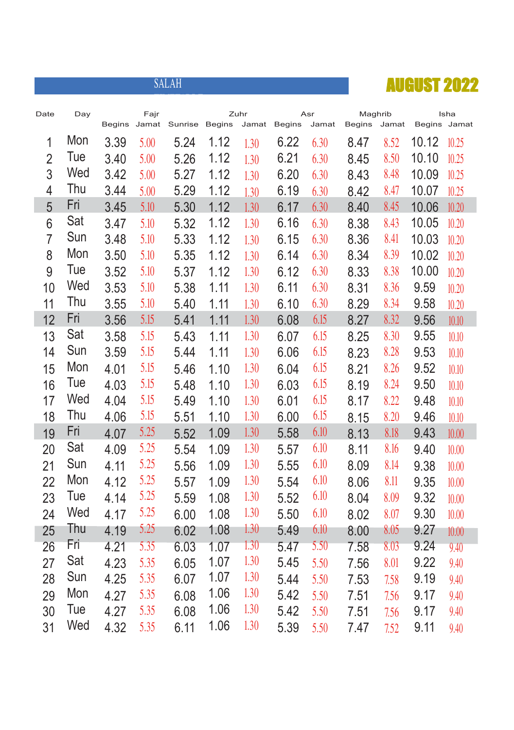

| Date           | Day | <b>Begins</b> | Fajr<br>Jamat | Sunrise | <b>Begins</b> | Zuhr<br>Jamat | <b>Begins</b> | Asr<br>Jamat | Maghrib<br>Begins | Jamat | Begins Jamat | Isha  |
|----------------|-----|---------------|---------------|---------|---------------|---------------|---------------|--------------|-------------------|-------|--------------|-------|
| 1              | Mon | 3.39          | 5.00          | 5.24    | 1.12          |               | 6.22          | 6.30         | 8.47              | 8.52  | 10.12        | 10.25 |
| $\overline{2}$ | Tue | 3.40          | 5.00          | 5.26    | 1.12          | 1.30<br>1.30  | 6.21          | 6.30         | 8.45              | 8.50  | 10.10        | 10.25 |
| 3              | Wed | 3.42          | 5.00          | 5.27    | 1.12          | 1.30          | 6.20          | 6.30         | 8.43              | 8.48  | 10.09        | 10.25 |
| $\overline{4}$ | Thu | 3.44          | 5.00          | 5.29    | 1.12          | 1.30          | 6.19          | 6.30         | 8.42              | 8.47  | 10.07        | 10.25 |
| 5              | Fri | 3.45          | 5.10          | 5.30    | 1.12          | 1.30          | 6.17          | 6.30         | 8.40              | 8.45  | 10.06        | 10.20 |
| 6              | Sat | 3.47          | 5.10          | 5.32    | 1.12          | 1.30          | 6.16          | 6.30         | 8.38              | 8.43  | 10.05        | 10.20 |
| $\overline{7}$ | Sun | 3.48          | 5.10          | 5.33    | 1.12          | 1.30          | 6.15          | 6.30         | 8.36              | 8.41  | 10.03        | 10.20 |
| 8              | Mon | 3.50          | 5.10          | 5.35    | 1.12          | 1.30          | 6.14          | 6.30         | 8.34              | 8.39  | 10.02        | 10.20 |
| 9              | Tue | 3.52          | 5.10          | 5.37    | 1.12          | 1.30          | 6.12          | 6.30         | 8.33              | 8.38  | 10.00        | 10.20 |
| 10             | Wed | 3.53          | 5.10          | 5.38    | 1.11          | 1.30          | 6.11          | 6.30         | 8.31              | 8.36  | 9.59         | 10.20 |
| 11             | Thu | 3.55          | 5.10          | 5.40    | 1.11          | 1.30          | 6.10          | 6.30         | 8.29              | 8.34  | 9.58         | 10.20 |
| 12             | Fri | 3.56          | 5.15          | 5.41    | 1.11          | 1.30          | 6.08          | 6.15         | 8.27              | 8.32  | 9.56         | 10.10 |
| 13             | Sat | 3.58          | 5.15          | 5.43    | 1.11          | 1.30          | 6.07          | 6.15         | 8.25              | 8.30  | 9.55         | 10.10 |
| 14             | Sun | 3.59          | 5.15          | 5.44    | 1.11          | 1.30          | 6.06          | 6.15         | 8.23              | 8.28  | 9.53         | 10.10 |
| 15             | Mon | 4.01          | 5.15          | 5.46    | 1.10          | 1.30          | 6.04          | 6.15         | 8.21              | 8.26  | 9.52         | 10.10 |
| 16             | Tue | 4.03          | 5.15          | 5.48    | 1.10          | 1.30          | 6.03          | 6.15         | 8.19              | 8.24  | 9.50         | 10.10 |
| 17             | Wed | 4.04          | 5.15          | 5.49    | 1.10          | 1.30          | 6.01          | 6.15         | 8.17              | 8.22  | 9.48         | 10.10 |
| 18             | Thu | 4.06          | 5.15          | 5.51    | 1.10          | 1.30          | 6.00          | 6.15         | 8.15              | 8.20  | 9.46         | 10.10 |
| 19             | Fri | 4.07          | 5.25          | 5.52    | 1.09          | 1.30          | 5.58          | 6.10         | 8.13              | 8.18  | 9.43         | 10.00 |
| 20             | Sat | 4.09          | 5.25          | 5.54    | 1.09          | 1.30          | 5.57          | 6.10         | 8.11              | 8.16  | 9.40         | 10.00 |
| 21             | Sun | 4.11          | 5.25          | 5.56    | 1.09          | 1.30          | 5.55          | 6.10         | 8.09              | 8.14  | 9.38         | 10.00 |
| 22             | Mon | 4.12          | 5.25          | 5.57    | 1.09          | 1.30          | 5.54          | 6.10         | 8.06              | 8.11  | 9.35         | 10.00 |
| 23             | Tue | 4.14          | 5.25          | 5.59    | 1.08          | 1.30          | 5.52          | 6.10         | 8.04              | 8.09  | 9.32         | 10.00 |
| 24             | Wed | 4.17          | 5.25          | 6.00    | 1.08          | 1.30          | 5.50          | 6.10         | 8.02              | 8.07  | 9.30         | 10.00 |
| 25             | Thu | 4.19          | 5.25          | 6.02    | 1.08          | 1.30          | 5.49          | 6.10         | 8.00              | 8.05  | 9.27         | 10.00 |
| 26             | Fri | 4.21          | 5.35          | 6.03    | 1.07          | 1.30          | 5.47          | 5.50         | 7.58              | 8.03  | 9.24         | 9.40  |
| 27             | Sat | 4.23          | 5.35          | 6.05    | 1.07          | 1.30          | 5.45          | 5.50         | 7.56              | 8.01  | 9.22         | 9.40  |
| 28             | Sun | 4.25          | 5.35          | 6.07    | 1.07          | 1.30          | 5.44          | 5.50         | 7.53              | 7.58  | 9.19         | 9.40  |
| 29             | Mon | 4.27          | 5.35          | 6.08    | 1.06          | 1.30          | 5.42          | 5.50         | 7.51              | 7.56  | 9.17         | 9.40  |
| 30             | Tue | 4.27          | 5.35          | 6.08    | 1.06          | 1.30          | 5.42          | 5.50         | 7.51              | 7.56  | 9.17         | 9.40  |
| 31             | Wed | 4.32          | 5.35          | 6.11    | 1.06          | 1.30          | 5.39          | 5.50         | 7.47              | 7.52  | 9.11         | 9.40  |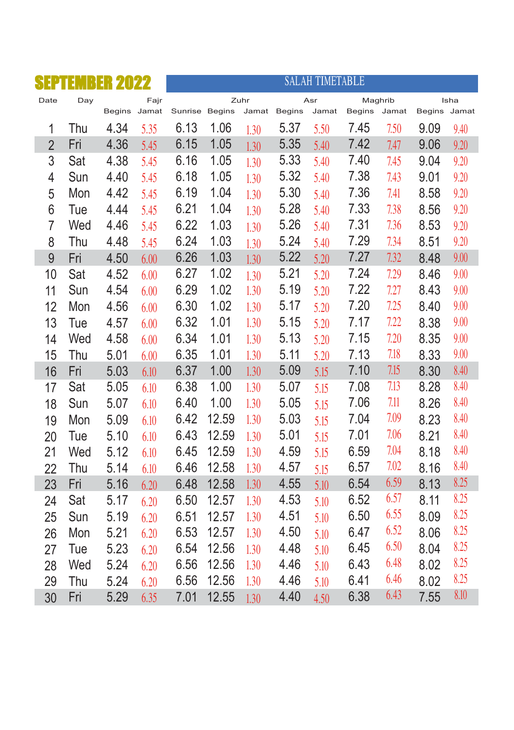| SE             | R   | <b>ER 2022</b> |      |                |       |       |               | <b>SALAH TIMETABLE</b> |        |         |              |      |
|----------------|-----|----------------|------|----------------|-------|-------|---------------|------------------------|--------|---------|--------------|------|
| Date           | Day |                | Fajr |                |       | Zuhr  |               | Asr                    |        | Maghrib |              | Isha |
|                |     | Begins Jamat   |      | Sunrise Begins |       | Jamat | <b>Begins</b> | Jamat                  | Begins | Jamat   | Begins Jamat |      |
| 1              | Thu | 4.34           | 5.35 | 6.13           | 1.06  | 1.30  | 5.37          | 5.50                   | 7.45   | 7.50    | 9.09         | 9.40 |
| $\overline{2}$ | Fri | 4.36           | 5.45 | 6.15           | 1.05  | 1.30  | 5.35          | 5.40                   | 7.42   | 7.47    | 9.06         | 9.20 |
| 3              | Sat | 4.38           | 5.45 | 6.16           | 1.05  | 1.30  | 5.33          | 5.40                   | 7.40   | 7.45    | 9.04         | 9.20 |
| 4              | Sun | 4.40           | 5.45 | 6.18           | 1.05  | 1.30  | 5.32          | 5.40                   | 7.38   | 7.43    | 9.01         | 9.20 |
| 5              | Mon | 4.42           | 5.45 | 6.19           | 1.04  | 1.30  | 5.30          | 5.40                   | 7.36   | 7.41    | 8.58         | 9.20 |
| 6              | Tue | 4.44           | 5.45 | 6.21           | 1.04  | 1.30  | 5.28          | 5.40                   | 7.33   | 7.38    | 8.56         | 9.20 |
| $\overline{7}$ | Wed | 4.46           | 5.45 | 6.22           | 1.03  | 1.30  | 5.26          | 5.40                   | 7.31   | 7.36    | 8.53         | 9.20 |
| 8              | Thu | 4.48           | 5.45 | 6.24           | 1.03  | 1.30  | 5.24          | 5.40                   | 7.29   | 7.34    | 8.51         | 9.20 |
| 9              | Fri | 4.50           | 6.00 | 6.26           | 1.03  | 1.30  | 5.22          | 5.20                   | 7.27   | 7.32    | 8.48         | 9.00 |
| 10             | Sat | 4.52           | 6.00 | 6.27           | 1.02  | 1.30  | 5.21          | 5.20                   | 7.24   | 7.29    | 8.46         | 9.00 |
| 11             | Sun | 4.54           | 6.00 | 6.29           | 1.02  | 1.30  | 5.19          | 5.20                   | 7.22   | 7.27    | 8.43         | 9.00 |
| 12             | Mon | 4.56           | 6.00 | 6.30           | 1.02  | 1.30  | 5.17          | 5.20                   | 7.20   | 7.25    | 8.40         | 9.00 |
| 13             | Tue | 4.57           | 6.00 | 6.32           | 1.01  | 1.30  | 5.15          | 5.20                   | 7.17   | 7.22    | 8.38         | 9.00 |
| 14             | Wed | 4.58           | 6.00 | 6.34           | 1.01  | 1.30  | 5.13          | 5.20                   | 7.15   | 7.20    | 8.35         | 9.00 |
| 15             | Thu | 5.01           | 6.00 | 6.35           | 1.01  | 1.30  | 5.11          | 5.20                   | 7.13   | 7.18    | 8.33         | 9.00 |
| 16             | Fri | 5.03           | 6.10 | 6.37           | 1.00  | 1.30  | 5.09          | 5.15                   | 7.10   | 7.15    | 8.30         | 8.40 |
| 17             | Sat | 5.05           | 6.10 | 6.38           | 1.00  | 1.30  | 5.07          | 5.15                   | 7.08   | 7.13    | 8.28         | 8.40 |
| 18             | Sun | 5.07           | 6.10 | 6.40           | 1.00  | 1.30  | 5.05          | 5.15                   | 7.06   | 7.11    | 8.26         | 8.40 |
| 19             | Mon | 5.09           | 6.10 | 6.42           | 12.59 | 1.30  | 5.03          | 5.15                   | 7.04   | 7.09    | 8.23         | 8.40 |
| 20             | Tue | 5.10           | 6.10 | 6.43           | 12.59 | 1.30  | 5.01          | 5.15                   | 7.01   | 7.06    | 8.21         | 8.40 |
| 21             | Wed | 5.12           | 6.10 | 6.45           | 12.59 | 1.30  | 4.59          | 5.15                   | 6.59   | 7.04    | 8.18         | 8.40 |
| 22             | Thu | 5.14           | 6.10 | 6.46           | 12.58 | 1.30  | 4.57          | 5.15                   | 6.57   | 7.02    | 8.16         | 8.40 |
| 23             | Fri | 5.16           | 6.20 | 6.48           | 12.58 | 1.30  | 4.55          | 5.10                   | 6.54   | 6.59    | 8.13         | 8.25 |
| 24             | Sat | 5.17           | 6.20 | 6.50           | 12.57 | 1.30  | 4.53          | 5.10                   | 6.52   | 6.57    | 8.11         | 8.25 |
| 25             | Sun | 5.19           | 6.20 | 6.51           | 12.57 | 1.30  | 4.51          | 5.10                   | 6.50   | 6.55    | 8.09         | 8.25 |
| 26             | Mon | 5.21           | 6.20 | 6.53           | 12.57 | 1.30  | 4.50          | 5.10                   | 6.47   | 6.52    | 8.06         | 8.25 |
| 27             | Tue | 5.23           | 6.20 | 6.54           | 12.56 | 1.30  | 4.48          | 5.10                   | 6.45   | 6.50    | 8.04         | 8.25 |
| 28             | Wed | 5.24           | 6.20 | 6.56           | 12.56 | 1.30  | 4.46          | 5.10                   | 6.43   | 6.48    | 8.02         | 8.25 |
| 29             | Thu | 5.24           | 6.20 | 6.56           | 12.56 | 1.30  | 4.46          | 5.10                   | 6.41   | 6.46    | 8.02         | 8.25 |
| 30             | Fri | 5.29           | 6.35 | 7.01           | 12.55 | 1.30  | 4.40          | 4.50                   | 6.38   | 6.43    | 7.55         | 8.10 |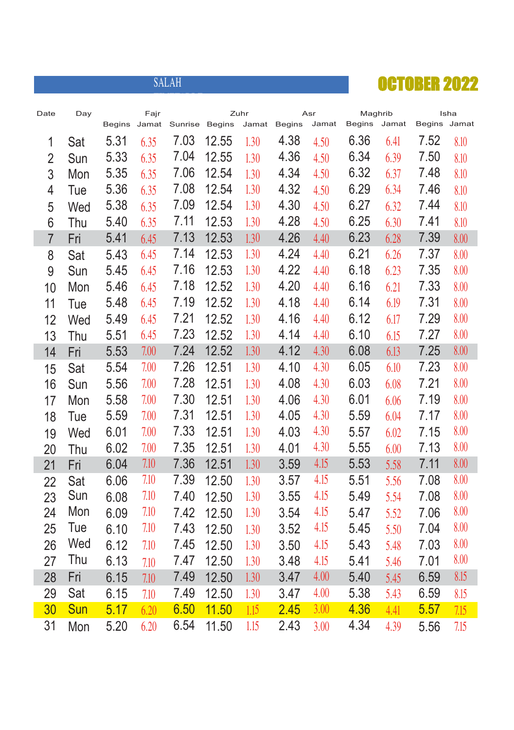|                |     |               |       | <b>SALAH</b> |               |       |               |       |         |       | <b>OCTOBER 2022</b> |      |
|----------------|-----|---------------|-------|--------------|---------------|-------|---------------|-------|---------|-------|---------------------|------|
| Date           | Day |               | Fajr  |              |               | Zuhr  |               | Asr   | Maghrib |       |                     | Isha |
|                |     | <b>Begins</b> | Jamat | Sunrise      | <b>Begins</b> | Jamat | <b>Begins</b> | Jamat | Begins  | Jamat | Begins Jamat        |      |
| 1              | Sat | 5.31          | 6.35  | 7.03         | 12.55         | 1.30  | 4.38          | 4.50  | 6.36    | 6.41  | 7.52                | 8.10 |
| $\overline{2}$ | Sun | 5.33          | 6.35  | 7.04         | 12.55         | 1.30  | 4.36          | 4.50  | 6.34    | 6.39  | 7.50                | 8.10 |
| 3              | Mon | 5.35          | 6.35  | 7.06         | 12.54         | 1.30  | 4.34          | 4.50  | 6.32    | 6.37  | 7.48                | 8.10 |
| $\overline{4}$ | Tue | 5.36          | 6.35  | 7.08         | 12.54         | 1.30  | 4.32          | 4.50  | 6.29    | 6.34  | 7.46                | 8.10 |
| 5              | Wed | 5.38          | 6.35  | 7.09         | 12.54         | 1.30  | 4.30          | 4.50  | 6.27    | 6.32  | 7.44                | 8.10 |
| 6              | Thu | 5.40          | 6.35  | 7.11         | 12.53         | 1.30  | 4.28          | 4.50  | 6.25    | 6.30  | 7.41                | 8.10 |
| $\overline{7}$ | Fri | 5.41          | 6.45  | 7.13         | 12.53         | 1.30  | 4.26          | 4.40  | 6.23    | 6.28  | 7.39                | 8.00 |
| 8              | Sat | 5.43          | 6.45  | 7.14         | 12.53         | 1.30  | 4.24          | 4.40  | 6.21    | 6.26  | 7.37                | 8.00 |
| 9              | Sun | 5.45          | 6.45  | 7.16         | 12.53         | 1.30  | 4.22          | 4.40  | 6.18    | 6.23  | 7.35                | 8.00 |
| 10             | Mon | 5.46          | 6.45  | 7.18         | 12.52         | 1.30  | 4.20          | 4.40  | 6.16    | 6.21  | 7.33                | 8.00 |
| 11             | Tue | 5.48          | 6.45  | 7.19         | 12.52         | 1.30  | 4.18          | 4.40  | 6.14    | 6.19  | 7.31                | 8.00 |
| 12             | Wed | 5.49          | 6.45  | 7.21         | 12.52         | 1.30  | 4.16          | 4.40  | 6.12    | 6.17  | 7.29                | 8.00 |
| 13             | Thu | 5.51          | 6.45  | 7.23         | 12.52         | 1.30  | 4.14          | 4.40  | 6.10    | 6.15  | 7.27                | 8.00 |
| 14             | Fri | 5.53          | 7.00  | 7.24         | 12.52         | 1.30  | 4.12          | 4.30  | 6.08    | 6.13  | 7.25                | 8.00 |
| 15             | Sat | 5.54          | 7.00  | 7.26         | 12.51         | 1.30  | 4.10          | 4.30  | 6.05    | 6.10  | 7.23                | 8.00 |
| 16             | Sun | 5.56          | 7.00  | 7.28         | 12.51         | 1.30  | 4.08          | 4.30  | 6.03    | 6.08  | 7.21                | 8.00 |
| 17             | Mon | 5.58          | 7.00  | 7.30         | 12.51         | 1.30  | 4.06          | 4.30  | 6.01    | 6.06  | 7.19                | 8.00 |
| 18             | Tue | 5.59          | 7.00  | 7.31         | 12.51         | 1.30  | 4.05          | 4.30  | 5.59    | 6.04  | 7.17                | 8.00 |
| 19             | Wed | 6.01          | 7.00  | 7.33         | 12.51         | 1.30  | 4.03          | 4.30  | 5.57    | 6.02  | 7.15                | 8.00 |
| 20             | Thu | 6.02          | 7.00  | 7.35         | 12.51         | 1.30  | 4.01          | 4.30  | 5.55    | 6.00  | 7.13                | 8.00 |
| 21             | Fri | 6.04          | 7.10  | 7.36         | 12.51         | 1.30  | 3.59          | 4.15  | 5.53    | 5.58  | 7.11                | 8.00 |
| 22             | Sat | 6.06          | 7.10  | 7.39         | 12.50         | 1.30  | 3.57          | 4.15  | 5.51    | 5.56  | 7.08                | 8.00 |
| 23             | Sun | 6.08          | 7.10  | 7.40         | 12.50         | 1.30  | 3.55          | 4.15  | 5.49    | 5.54  | 7.08                | 8.00 |
| 24             | Mon | 6.09          | 7.10  | 7.42         | 12.50         | 1.30  | 3.54          | 4.15  | 5.47    | 5.52  | 7.06                | 8.00 |
| 25             | Tue | 6.10          | 7.10  | 7.43         | 12.50         | 1.30  | 3.52          | 4.15  | 5.45    | 5.50  | 7.04                | 8.00 |
| 26             | Wed | 6.12          | 7.10  | 7.45         | 12.50         | 1.30  | 3.50          | 4.15  | 5.43    | 5.48  | 7.03                | 8.00 |
| 27             | Thu | 6.13          | 7.10  | 7.47         | 12.50         | 1.30  | 3.48          | 4.15  | 5.41    | 5.46  | 7.01                | 8.00 |
| 28             | Fri | 6.15          | 7.10  | 7.49         | 12.50         | 1.30  | 3.47          | 4.00  | 5.40    | 5.45  | 6.59                | 8.15 |
| 29             | Sat | 6.15          | 7.10  | 7.49         | 12.50         | 1.30  | 3.47          | 4.00  | 5.38    | 5.43  | 6.59                | 8.15 |
| 30             | Sun | 5.17          | 6.20  | 6.50         | 11.50         | 1.15  | 2.45          | 3.00  | 4.36    | 4.41  | 5.57                | 7.15 |
| 31             | Mon | 5.20          | 6.20  | 6.54         | 11.50         | 1.15  | 2.43          | 3.00  | 4.34    | 4.39  | 5.56                | 7.15 |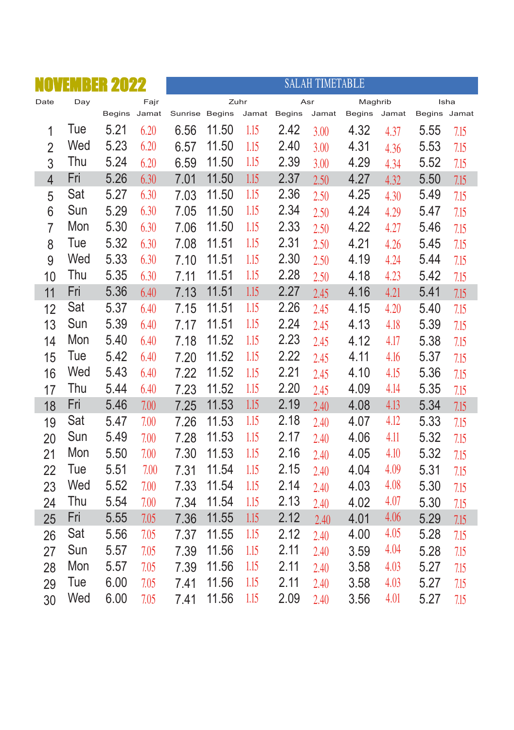|                | BER<br>11 | 2022         |      |                |       |       |               | <b>SALAH TIMETABLE</b> |               |       |              |      |
|----------------|-----------|--------------|------|----------------|-------|-------|---------------|------------------------|---------------|-------|--------------|------|
| Date           | Day       |              | Fajr |                | Zuhr  |       |               | Asr                    | Maghrib       |       | Isha         |      |
|                |           | Begins Jamat |      | Sunrise Begins |       | Jamat | <b>Begins</b> | Jamat                  | <b>Begins</b> | Jamat | Begins Jamat |      |
| $\mathbf{1}$   | Tue       | 5.21         | 6.20 | 6.56           | 11.50 | 1.15  | 2.42          | 3.00                   | 4.32          | 4.37  | 5.55         | 7.15 |
| $\overline{2}$ | Wed       | 5.23         | 6.20 | 6.57           | 11.50 | 1.15  | 2.40          | 3.00                   | 4.31          | 4.36  | 5.53         | 7.15 |
| 3              | Thu       | 5.24         | 6.20 | 6.59           | 11.50 | 1.15  | 2.39          | 3.00                   | 4.29          | 4.34  | 5.52         | 7.15 |
| $\overline{4}$ | Fri       | 5.26         | 6.30 | 7.01           | 11.50 | 1.15  | 2.37          | 2.50                   | 4.27          | 4.32  | 5.50         | 7.15 |
| 5              | Sat       | 5.27         | 6.30 | 7.03           | 11.50 | 1.15  | 2.36          | 2.50                   | 4.25          | 4.30  | 5.49         | 7.15 |
| 6              | Sun       | 5.29         | 6.30 | 7.05           | 11.50 | 1.15  | 2.34          | 2.50                   | 4.24          | 4.29  | 5.47         | 7.15 |
| $\overline{7}$ | Mon       | 5.30         | 6.30 | 7.06           | 11.50 | 1.15  | 2.33          | 2.50                   | 4.22          | 4.27  | 5.46         | 7.15 |
| 8              | Tue       | 5.32         | 6.30 | 7.08           | 11.51 | 1.15  | 2.31          | 2.50                   | 4.21          | 4.26  | 5.45         | 7.15 |
| 9              | Wed       | 5.33         | 6.30 | 7.10           | 11.51 | 1.15  | 2.30          | 2.50                   | 4.19          | 4.24  | 5.44         | 7.15 |
| 10             | Thu       | 5.35         | 6.30 | 7.11           | 11.51 | 1.15  | 2.28          | 2.50                   | 4.18          | 4.23  | 5.42         | 7.15 |
| 11             | Fri       | 5.36         | 6.40 | 7.13           | 11.51 | 1.15  | 2.27          | 2.45                   | 4.16          | 4.21  | 5.41         | 7.15 |
| 12             | Sat       | 5.37         | 6.40 | 7.15           | 11.51 | 1.15  | 2.26          | 2.45                   | 4.15          | 4.20  | 5.40         | 7.15 |
| 13             | Sun       | 5.39         | 6.40 | 7.17           | 11.51 | 1.15  | 2.24          | 2.45                   | 4.13          | 4.18  | 5.39         | 7.15 |
| 14             | Mon       | 5.40         | 6.40 | 7.18           | 11.52 | 1.15  | 2.23          | 2.45                   | 4.12          | 4.17  | 5.38         | 7.15 |
| 15             | Tue       | 5.42         | 6.40 | 7.20           | 11.52 | 1.15  | 2.22          | 2.45                   | 4.11          | 4.16  | 5.37         | 7.15 |
| 16             | Wed       | 5.43         | 6.40 | 7.22           | 11.52 | 1.15  | 2.21          | 2.45                   | 4.10          | 4.15  | 5.36         | 7.15 |
| 17             | Thu       | 5.44         | 6.40 | 7.23           | 11.52 | 1.15  | 2.20          | 2.45                   | 4.09          | 4.14  | 5.35         | 7.15 |
| 18             | Fri       | 5.46         | 7.00 | 7.25           | 11.53 | 1.15  | 2.19          | 2.40                   | 4.08          | 4.13  | 5.34         | 7.15 |
| 19             | Sat       | 5.47         | 7.00 | 7.26           | 11.53 | 1.15  | 2.18          | 2.40                   | 4.07          | 4.12  | 5.33         | 7.15 |
| 20             | Sun       | 5.49         | 7.00 | 7.28           | 11.53 | 1.15  | 2.17          | 2.40                   | 4.06          | 4.11  | 5.32         | 7.15 |
| 21             | Mon       | 5.50         | 7.00 | 7.30           | 11.53 | 1.15  | 2.16          | 2.40                   | 4.05          | 4.10  | 5.32         | 7.15 |
| 22             | Tue       | 5.51         | 7.00 | 7.31           | 11.54 | 1.15  | 2.15          | 2.40                   | 4.04          | 4.09  | 5.31         | 7.15 |
| 23             | Wed       | 5.52         | 7.00 | 7.33           | 11.54 | 1.15  | 2.14          | 2.40                   | 4.03          | 4.08  | 5.30         | 7.15 |
| 24             | Thu       | 5.54         | 7.00 | 7.34           | 11.54 | 1.15  | 2.13          | 2.40                   | 4.02          | 4.07  | 5.30         | 7.15 |
| 25             | Fri       | 5.55         | 7.05 | 7.36           | 11.55 | 1.15  | 2.12          | 2.40                   | 4.01          | 4.06  | 5.29         | 7.15 |
| 26             | Sat       | 5.56         | 7.05 | 7.37           | 11.55 | 1.15  | 2.12          | 2.40                   | 4.00          | 4.05  | 5.28         | 7.15 |
| 27             | Sun       | 5.57         | 7.05 | 7.39           | 11.56 | 1.15  | 2.11          | 2.40                   | 3.59          | 4.04  | 5.28         | 7.15 |
| 28             | Mon       | 5.57         | 7.05 | 7.39           | 11.56 | 1.15  | 2.11          | 2.40                   | 3.58          | 4.03  | 5.27         | 7.15 |
| 29             | Tue       | 6.00         | 7.05 | 7.41           | 11.56 | 1.15  | 2.11          | 2.40                   | 3.58          | 4.03  | 5.27         | 7.15 |
| 30             | Wed       | 6.00         | 7.05 | 7.41           | 11.56 | 1.15  | 2.09          | 2.40                   | 3.56          | 4.01  | 5.27         | 7.15 |